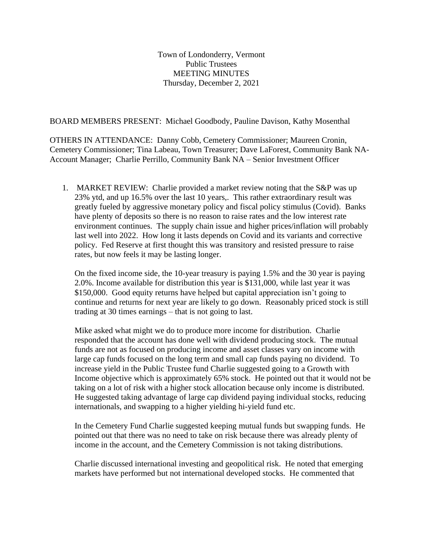Town of Londonderry, Vermont Public Trustees MEETING MINUTES Thursday, December 2, 2021

BOARD MEMBERS PRESENT: Michael Goodbody, Pauline Davison, Kathy Mosenthal

OTHERS IN ATTENDANCE: Danny Cobb, Cemetery Commissioner; Maureen Cronin, Cemetery Commissioner; Tina Labeau, Town Treasurer; Dave LaForest, Community Bank NA-Account Manager; Charlie Perrillo, Community Bank NA – Senior Investment Officer

1. MARKET REVIEW: Charlie provided a market review noting that the S&P was up 23% ytd, and up 16.5% over the last 10 years,. This rather extraordinary result was greatly fueled by aggressive monetary policy and fiscal policy stimulus (Covid). Banks have plenty of deposits so there is no reason to raise rates and the low interest rate environment continues. The supply chain issue and higher prices/inflation will probably last well into 2022. How long it lasts depends on Covid and its variants and corrective policy. Fed Reserve at first thought this was transitory and resisted pressure to raise rates, but now feels it may be lasting longer.

On the fixed income side, the 10-year treasury is paying 1.5% and the 30 year is paying 2.0%. Income available for distribution this year is \$131,000, while last year it was \$150,000. Good equity returns have helped but capital appreciation isn't going to continue and returns for next year are likely to go down. Reasonably priced stock is still trading at 30 times earnings – that is not going to last.

Mike asked what might we do to produce more income for distribution. Charlie responded that the account has done well with dividend producing stock. The mutual funds are not as focused on producing income and asset classes vary on income with large cap funds focused on the long term and small cap funds paying no dividend. To increase yield in the Public Trustee fund Charlie suggested going to a Growth with Income objective which is approximately 65% stock. He pointed out that it would not be taking on a lot of risk with a higher stock allocation because only income is distributed. He suggested taking advantage of large cap dividend paying individual stocks, reducing internationals, and swapping to a higher yielding hi-yield fund etc.

In the Cemetery Fund Charlie suggested keeping mutual funds but swapping funds. He pointed out that there was no need to take on risk because there was already plenty of income in the account, and the Cemetery Commission is not taking distributions.

Charlie discussed international investing and geopolitical risk. He noted that emerging markets have performed but not international developed stocks. He commented that